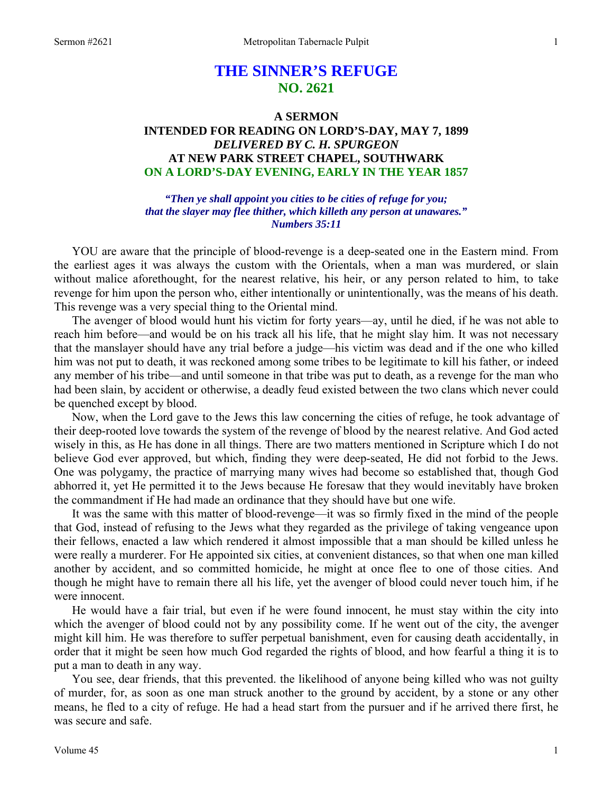# **THE SINNER'S REFUGE NO. 2621**

# **A SERMON INTENDED FOR READING ON LORD'S-DAY, MAY 7, 1899**  *DELIVERED BY C. H. SPURGEON*  **AT NEW PARK STREET CHAPEL, SOUTHWARK ON A LORD'S-DAY EVENING, EARLY IN THE YEAR 1857**

*"Then ye shall appoint you cities to be cities of refuge for you; that the slayer may flee thither, which killeth any person at unawares." Numbers 35:11* 

YOU are aware that the principle of blood-revenge is a deep-seated one in the Eastern mind. From the earliest ages it was always the custom with the Orientals, when a man was murdered, or slain without malice aforethought, for the nearest relative, his heir, or any person related to him, to take revenge for him upon the person who, either intentionally or unintentionally, was the means of his death. This revenge was a very special thing to the Oriental mind.

 The avenger of blood would hunt his victim for forty years—ay, until he died, if he was not able to reach him before—and would be on his track all his life, that he might slay him. It was not necessary that the manslayer should have any trial before a judge—his victim was dead and if the one who killed him was not put to death, it was reckoned among some tribes to be legitimate to kill his father, or indeed any member of his tribe—and until someone in that tribe was put to death, as a revenge for the man who had been slain, by accident or otherwise, a deadly feud existed between the two clans which never could be quenched except by blood.

 Now, when the Lord gave to the Jews this law concerning the cities of refuge, he took advantage of their deep-rooted love towards the system of the revenge of blood by the nearest relative. And God acted wisely in this, as He has done in all things. There are two matters mentioned in Scripture which I do not believe God ever approved, but which, finding they were deep-seated, He did not forbid to the Jews. One was polygamy, the practice of marrying many wives had become so established that, though God abhorred it, yet He permitted it to the Jews because He foresaw that they would inevitably have broken the commandment if He had made an ordinance that they should have but one wife.

 It was the same with this matter of blood-revenge—it was so firmly fixed in the mind of the people that God, instead of refusing to the Jews what they regarded as the privilege of taking vengeance upon their fellows, enacted a law which rendered it almost impossible that a man should be killed unless he were really a murderer. For He appointed six cities, at convenient distances, so that when one man killed another by accident, and so committed homicide, he might at once flee to one of those cities. And though he might have to remain there all his life, yet the avenger of blood could never touch him, if he were innocent.

 He would have a fair trial, but even if he were found innocent, he must stay within the city into which the avenger of blood could not by any possibility come. If he went out of the city, the avenger might kill him. He was therefore to suffer perpetual banishment, even for causing death accidentally, in order that it might be seen how much God regarded the rights of blood, and how fearful a thing it is to put a man to death in any way.

 You see, dear friends, that this prevented. the likelihood of anyone being killed who was not guilty of murder, for, as soon as one man struck another to the ground by accident, by a stone or any other means, he fled to a city of refuge. He had a head start from the pursuer and if he arrived there first, he was secure and safe.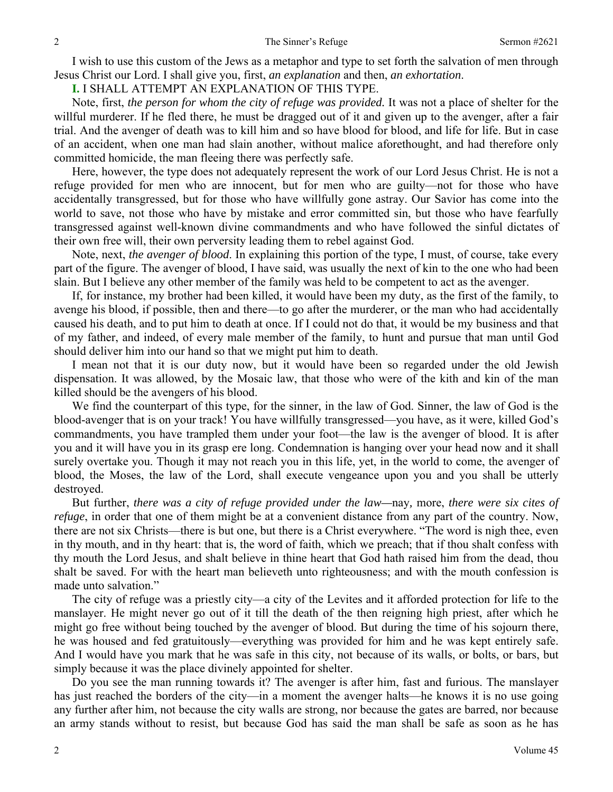I wish to use this custom of the Jews as a metaphor and type to set forth the salvation of men through Jesus Christ our Lord. I shall give you, first, *an explanation* and then, *an exhortation*.

**I.** I SHALL ATTEMPT AN EXPLANATION OF THIS TYPE.

 Note, first, *the person for whom the city of refuge was provided.* It was not a place of shelter for the willful murderer. If he fled there, he must be dragged out of it and given up to the avenger, after a fair trial. And the avenger of death was to kill him and so have blood for blood, and life for life. But in case of an accident, when one man had slain another, without malice aforethought, and had therefore only committed homicide, the man fleeing there was perfectly safe.

 Here, however, the type does not adequately represent the work of our Lord Jesus Christ. He is not a refuge provided for men who are innocent, but for men who are guilty—not for those who have accidentally transgressed, but for those who have willfully gone astray. Our Savior has come into the world to save, not those who have by mistake and error committed sin, but those who have fearfully transgressed against well-known divine commandments and who have followed the sinful dictates of their own free will, their own perversity leading them to rebel against God.

 Note, next, *the avenger of blood*. In explaining this portion of the type, I must, of course, take every part of the figure. The avenger of blood, I have said, was usually the next of kin to the one who had been slain. But I believe any other member of the family was held to be competent to act as the avenger.

 If, for instance, my brother had been killed, it would have been my duty, as the first of the family, to avenge his blood, if possible, then and there—to go after the murderer, or the man who had accidentally caused his death, and to put him to death at once. If I could not do that, it would be my business and that of my father, and indeed, of every male member of the family, to hunt and pursue that man until God should deliver him into our hand so that we might put him to death.

 I mean not that it is our duty now, but it would have been so regarded under the old Jewish dispensation. It was allowed, by the Mosaic law, that those who were of the kith and kin of the man killed should be the avengers of his blood.

 We find the counterpart of this type, for the sinner, in the law of God. Sinner, the law of God is the blood-avenger that is on your track! You have willfully transgressed—you have, as it were, killed God's commandments, you have trampled them under your foot—the law is the avenger of blood. It is after you and it will have you in its grasp ere long. Condemnation is hanging over your head now and it shall surely overtake you. Though it may not reach you in this life, yet, in the world to come, the avenger of blood, the Moses, the law of the Lord, shall execute vengeance upon you and you shall be utterly destroyed.

 But further, *there was a city of refuge provided under the law—*nay*,* more, *there were six cites of refuge*, in order that one of them might be at a convenient distance from any part of the country. Now, there are not six Christs—there is but one, but there is a Christ everywhere. "The word is nigh thee, even in thy mouth, and in thy heart: that is, the word of faith, which we preach; that if thou shalt confess with thy mouth the Lord Jesus, and shalt believe in thine heart that God hath raised him from the dead, thou shalt be saved. For with the heart man believeth unto righteousness; and with the mouth confession is made unto salvation."

 The city of refuge was a priestly city—a city of the Levites and it afforded protection for life to the manslayer. He might never go out of it till the death of the then reigning high priest, after which he might go free without being touched by the avenger of blood. But during the time of his sojourn there, he was housed and fed gratuitously—everything was provided for him and he was kept entirely safe. And I would have you mark that he was safe in this city, not because of its walls, or bolts, or bars, but simply because it was the place divinely appointed for shelter.

 Do you see the man running towards it? The avenger is after him, fast and furious. The manslayer has just reached the borders of the city—in a moment the avenger halts—he knows it is no use going any further after him, not because the city walls are strong, nor because the gates are barred, nor because an army stands without to resist, but because God has said the man shall be safe as soon as he has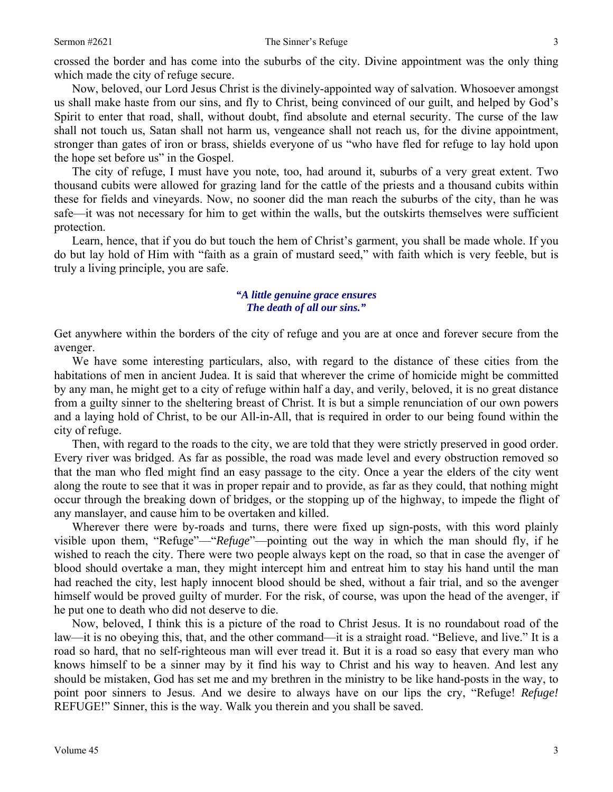crossed the border and has come into the suburbs of the city. Divine appointment was the only thing which made the city of refuge secure.

 Now, beloved, our Lord Jesus Christ is the divinely-appointed way of salvation. Whosoever amongst us shall make haste from our sins, and fly to Christ, being convinced of our guilt, and helped by God's Spirit to enter that road, shall, without doubt, find absolute and eternal security. The curse of the law shall not touch us, Satan shall not harm us, vengeance shall not reach us, for the divine appointment, stronger than gates of iron or brass, shields everyone of us "who have fled for refuge to lay hold upon the hope set before us" in the Gospel.

 The city of refuge, I must have you note, too, had around it, suburbs of a very great extent. Two thousand cubits were allowed for grazing land for the cattle of the priests and a thousand cubits within these for fields and vineyards. Now, no sooner did the man reach the suburbs of the city, than he was safe—it was not necessary for him to get within the walls, but the outskirts themselves were sufficient protection.

 Learn, hence, that if you do but touch the hem of Christ's garment, you shall be made whole. If you do but lay hold of Him with "faith as a grain of mustard seed," with faith which is very feeble, but is truly a living principle, you are safe.

#### *"A little genuine grace ensures The death of all our sins."*

Get anywhere within the borders of the city of refuge and you are at once and forever secure from the avenger.

 We have some interesting particulars, also, with regard to the distance of these cities from the habitations of men in ancient Judea. It is said that wherever the crime of homicide might be committed by any man, he might get to a city of refuge within half a day, and verily, beloved, it is no great distance from a guilty sinner to the sheltering breast of Christ. It is but a simple renunciation of our own powers and a laying hold of Christ, to be our All-in-All, that is required in order to our being found within the city of refuge.

 Then, with regard to the roads to the city, we are told that they were strictly preserved in good order. Every river was bridged. As far as possible, the road was made level and every obstruction removed so that the man who fled might find an easy passage to the city. Once a year the elders of the city went along the route to see that it was in proper repair and to provide, as far as they could, that nothing might occur through the breaking down of bridges, or the stopping up of the highway, to impede the flight of any manslayer, and cause him to be overtaken and killed.

 Wherever there were by-roads and turns, there were fixed up sign-posts, with this word plainly visible upon them, "Refuge"—"*Refuge*"—pointing out the way in which the man should fly, if he wished to reach the city. There were two people always kept on the road, so that in case the avenger of blood should overtake a man, they might intercept him and entreat him to stay his hand until the man had reached the city, lest haply innocent blood should be shed, without a fair trial, and so the avenger himself would be proved guilty of murder. For the risk, of course, was upon the head of the avenger, if he put one to death who did not deserve to die.

 Now, beloved, I think this is a picture of the road to Christ Jesus. It is no roundabout road of the law—it is no obeying this, that, and the other command—it is a straight road. "Believe, and live." It is a road so hard, that no self-righteous man will ever tread it. But it is a road so easy that every man who knows himself to be a sinner may by it find his way to Christ and his way to heaven. And lest any should be mistaken, God has set me and my brethren in the ministry to be like hand-posts in the way, to point poor sinners to Jesus. And we desire to always have on our lips the cry, "Refuge! *Refuge!*  REFUGE!" Sinner, this is the way. Walk you therein and you shall be saved.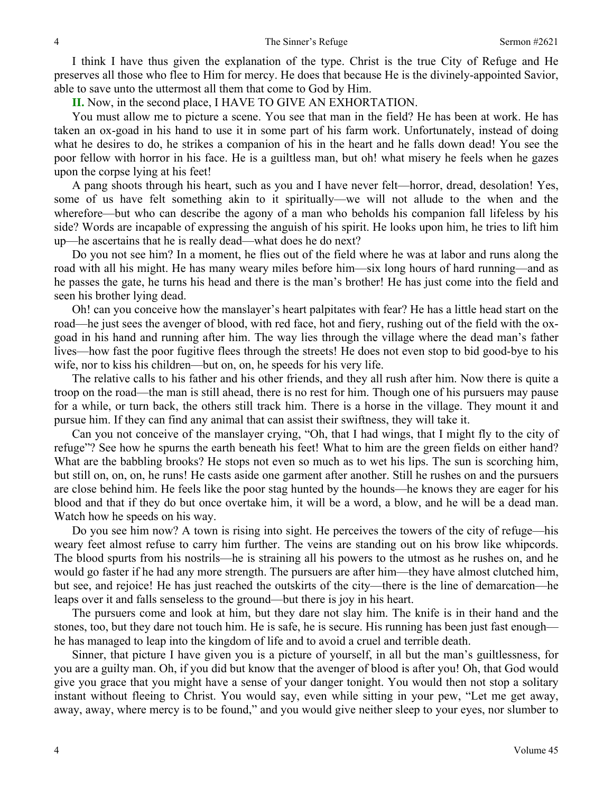I think I have thus given the explanation of the type. Christ is the true City of Refuge and He preserves all those who flee to Him for mercy. He does that because He is the divinely-appointed Savior, able to save unto the uttermost all them that come to God by Him.

**II.** Now, in the second place, I HAVE TO GIVE AN EXHORTATION.

 You must allow me to picture a scene. You see that man in the field? He has been at work. He has taken an ox-goad in his hand to use it in some part of his farm work. Unfortunately, instead of doing what he desires to do, he strikes a companion of his in the heart and he falls down dead! You see the poor fellow with horror in his face. He is a guiltless man, but oh! what misery he feels when he gazes upon the corpse lying at his feet!

 A pang shoots through his heart, such as you and I have never felt—horror, dread, desolation! Yes, some of us have felt something akin to it spiritually—we will not allude to the when and the wherefore—but who can describe the agony of a man who beholds his companion fall lifeless by his side? Words are incapable of expressing the anguish of his spirit. He looks upon him, he tries to lift him up—he ascertains that he is really dead—what does he do next?

 Do you not see him? In a moment, he flies out of the field where he was at labor and runs along the road with all his might. He has many weary miles before him—six long hours of hard running—and as he passes the gate, he turns his head and there is the man's brother! He has just come into the field and seen his brother lying dead.

 Oh! can you conceive how the manslayer's heart palpitates with fear? He has a little head start on the road—he just sees the avenger of blood, with red face, hot and fiery, rushing out of the field with the oxgoad in his hand and running after him. The way lies through the village where the dead man's father lives—how fast the poor fugitive flees through the streets! He does not even stop to bid good-bye to his wife, nor to kiss his children—but on, on, he speeds for his very life.

 The relative calls to his father and his other friends, and they all rush after him. Now there is quite a troop on the road—the man is still ahead, there is no rest for him. Though one of his pursuers may pause for a while, or turn back, the others still track him. There is a horse in the village. They mount it and pursue him. If they can find any animal that can assist their swiftness, they will take it.

 Can you not conceive of the manslayer crying, "Oh, that I had wings, that I might fly to the city of refuge"? See how he spurns the earth beneath his feet! What to him are the green fields on either hand? What are the babbling brooks? He stops not even so much as to wet his lips. The sun is scorching him, but still on, on, on, he runs! He casts aside one garment after another. Still he rushes on and the pursuers are close behind him. He feels like the poor stag hunted by the hounds—he knows they are eager for his blood and that if they do but once overtake him, it will be a word, a blow, and he will be a dead man. Watch how he speeds on his way.

 Do you see him now? A town is rising into sight. He perceives the towers of the city of refuge—his weary feet almost refuse to carry him further. The veins are standing out on his brow like whipcords. The blood spurts from his nostrils—he is straining all his powers to the utmost as he rushes on, and he would go faster if he had any more strength. The pursuers are after him—they have almost clutched him, but see, and rejoice! He has just reached the outskirts of the city—there is the line of demarcation—he leaps over it and falls senseless to the ground—but there is joy in his heart.

 The pursuers come and look at him, but they dare not slay him. The knife is in their hand and the stones, too, but they dare not touch him. He is safe, he is secure. His running has been just fast enough he has managed to leap into the kingdom of life and to avoid a cruel and terrible death.

 Sinner, that picture I have given you is a picture of yourself, in all but the man's guiltlessness, for you are a guilty man. Oh, if you did but know that the avenger of blood is after you! Oh, that God would give you grace that you might have a sense of your danger tonight. You would then not stop a solitary instant without fleeing to Christ. You would say, even while sitting in your pew, "Let me get away, away, away, where mercy is to be found," and you would give neither sleep to your eyes, nor slumber to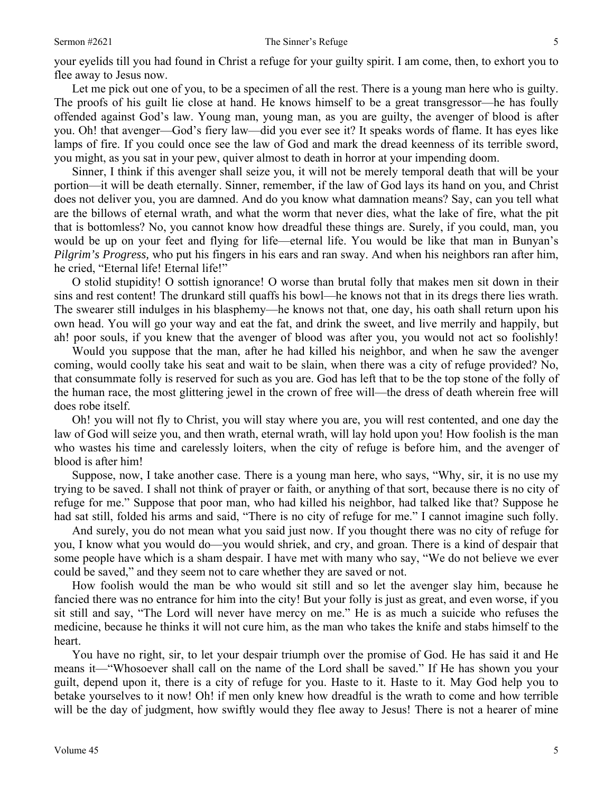Let me pick out one of you, to be a specimen of all the rest. There is a young man here who is guilty. The proofs of his guilt lie close at hand. He knows himself to be a great transgressor—he has foully offended against God's law. Young man, young man, as you are guilty, the avenger of blood is after you. Oh! that avenger—God's fiery law—did you ever see it? It speaks words of flame. It has eyes like lamps of fire. If you could once see the law of God and mark the dread keenness of its terrible sword, you might, as you sat in your pew, quiver almost to death in horror at your impending doom.

 Sinner, I think if this avenger shall seize you, it will not be merely temporal death that will be your portion—it will be death eternally. Sinner, remember, if the law of God lays its hand on you, and Christ does not deliver you, you are damned. And do you know what damnation means? Say, can you tell what are the billows of eternal wrath, and what the worm that never dies, what the lake of fire, what the pit that is bottomless? No, you cannot know how dreadful these things are. Surely, if you could, man, you would be up on your feet and flying for life—eternal life. You would be like that man in Bunyan's *Pilgrim's Progress,* who put his fingers in his ears and ran sway. And when his neighbors ran after him, he cried, "Eternal life! Eternal life!"

 O stolid stupidity! O sottish ignorance! O worse than brutal folly that makes men sit down in their sins and rest content! The drunkard still quaffs his bowl—he knows not that in its dregs there lies wrath. The swearer still indulges in his blasphemy—he knows not that, one day, his oath shall return upon his own head. You will go your way and eat the fat, and drink the sweet, and live merrily and happily, but ah! poor souls, if you knew that the avenger of blood was after you, you would not act so foolishly!

 Would you suppose that the man, after he had killed his neighbor, and when he saw the avenger coming, would coolly take his seat and wait to be slain, when there was a city of refuge provided? No, that consummate folly is reserved for such as you are. God has left that to be the top stone of the folly of the human race, the most glittering jewel in the crown of free will—the dress of death wherein free will does robe itself.

 Oh! you will not fly to Christ, you will stay where you are, you will rest contented, and one day the law of God will seize you, and then wrath, eternal wrath, will lay hold upon you! How foolish is the man who wastes his time and carelessly loiters, when the city of refuge is before him, and the avenger of blood is after him!

 Suppose, now, I take another case. There is a young man here, who says, "Why, sir, it is no use my trying to be saved. I shall not think of prayer or faith, or anything of that sort, because there is no city of refuge for me." Suppose that poor man, who had killed his neighbor, had talked like that? Suppose he had sat still, folded his arms and said, "There is no city of refuge for me." I cannot imagine such folly.

 And surely, you do not mean what you said just now. If you thought there was no city of refuge for you, I know what you would do—you would shriek, and cry, and groan. There is a kind of despair that some people have which is a sham despair. I have met with many who say, "We do not believe we ever could be saved," and they seem not to care whether they are saved or not.

 How foolish would the man be who would sit still and so let the avenger slay him, because he fancied there was no entrance for him into the city! But your folly is just as great, and even worse, if you sit still and say, "The Lord will never have mercy on me." He is as much a suicide who refuses the medicine, because he thinks it will not cure him, as the man who takes the knife and stabs himself to the heart.

 You have no right, sir, to let your despair triumph over the promise of God. He has said it and He means it—"Whosoever shall call on the name of the Lord shall be saved." If He has shown you your guilt, depend upon it, there is a city of refuge for you. Haste to it. Haste to it. May God help you to betake yourselves to it now! Oh! if men only knew how dreadful is the wrath to come and how terrible will be the day of judgment, how swiftly would they flee away to Jesus! There is not a hearer of mine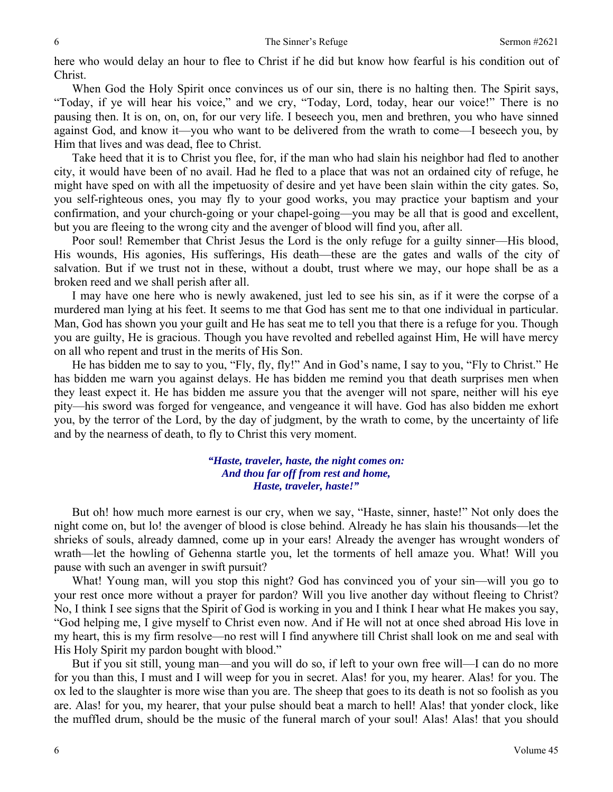here who would delay an hour to flee to Christ if he did but know how fearful is his condition out of Christ.

 When God the Holy Spirit once convinces us of our sin, there is no halting then. The Spirit says, "Today, if ye will hear his voice," and we cry, "Today, Lord, today, hear our voice!" There is no pausing then. It is on, on, on, for our very life. I beseech you, men and brethren, you who have sinned against God, and know it—you who want to be delivered from the wrath to come—I beseech you, by Him that lives and was dead, flee to Christ.

 Take heed that it is to Christ you flee, for, if the man who had slain his neighbor had fled to another city, it would have been of no avail. Had he fled to a place that was not an ordained city of refuge, he might have sped on with all the impetuosity of desire and yet have been slain within the city gates. So, you self-righteous ones, you may fly to your good works, you may practice your baptism and your confirmation, and your church-going or your chapel-going—you may be all that is good and excellent, but you are fleeing to the wrong city and the avenger of blood will find you, after all.

 Poor soul! Remember that Christ Jesus the Lord is the only refuge for a guilty sinner—His blood, His wounds, His agonies, His sufferings, His death—these are the gates and walls of the city of salvation. But if we trust not in these, without a doubt, trust where we may, our hope shall be as a broken reed and we shall perish after all.

 I may have one here who is newly awakened, just led to see his sin, as if it were the corpse of a murdered man lying at his feet. It seems to me that God has sent me to that one individual in particular. Man, God has shown you your guilt and He has seat me to tell you that there is a refuge for you. Though you are guilty, He is gracious. Though you have revolted and rebelled against Him, He will have mercy on all who repent and trust in the merits of His Son.

 He has bidden me to say to you, "Fly, fly, fly!" And in God's name, I say to you, "Fly to Christ." He has bidden me warn you against delays. He has bidden me remind you that death surprises men when they least expect it. He has bidden me assure you that the avenger will not spare, neither will his eye pity—his sword was forged for vengeance, and vengeance it will have. God has also bidden me exhort you, by the terror of the Lord, by the day of judgment, by the wrath to come, by the uncertainty of life and by the nearness of death, to fly to Christ this very moment.

#### *"Haste, traveler, haste, the night comes on: And thou far off from rest and home, Haste, traveler, haste!"*

 But oh! how much more earnest is our cry, when we say, "Haste, sinner, haste!" Not only does the night come on, but lo! the avenger of blood is close behind. Already he has slain his thousands—let the shrieks of souls, already damned, come up in your ears! Already the avenger has wrought wonders of wrath—let the howling of Gehenna startle you, let the torments of hell amaze you. What! Will you pause with such an avenger in swift pursuit?

 What! Young man, will you stop this night? God has convinced you of your sin—will you go to your rest once more without a prayer for pardon? Will you live another day without fleeing to Christ? No, I think I see signs that the Spirit of God is working in you and I think I hear what He makes you say, "God helping me, I give myself to Christ even now. And if He will not at once shed abroad His love in my heart, this is my firm resolve—no rest will I find anywhere till Christ shall look on me and seal with His Holy Spirit my pardon bought with blood."

 But if you sit still, young man—and you will do so, if left to your own free will—I can do no more for you than this, I must and I will weep for you in secret. Alas! for you, my hearer. Alas! for you. The ox led to the slaughter is more wise than you are. The sheep that goes to its death is not so foolish as you are. Alas! for you, my hearer, that your pulse should beat a march to hell! Alas! that yonder clock, like the muffled drum, should be the music of the funeral march of your soul! Alas! Alas! that you should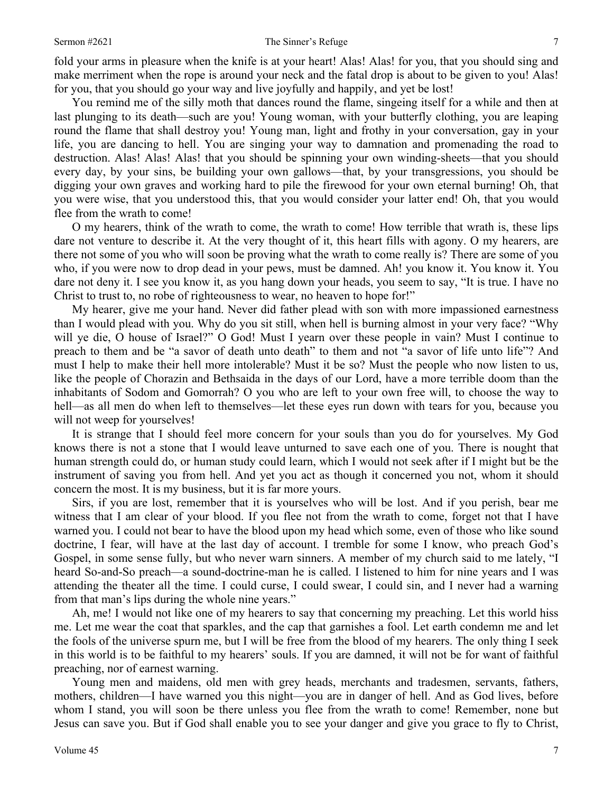fold your arms in pleasure when the knife is at your heart! Alas! Alas! for you, that you should sing and make merriment when the rope is around your neck and the fatal drop is about to be given to you! Alas! for you, that you should go your way and live joyfully and happily, and yet be lost!

 You remind me of the silly moth that dances round the flame, singeing itself for a while and then at last plunging to its death—such are you! Young woman, with your butterfly clothing, you are leaping round the flame that shall destroy you! Young man, light and frothy in your conversation, gay in your life, you are dancing to hell. You are singing your way to damnation and promenading the road to destruction. Alas! Alas! Alas! that you should be spinning your own winding-sheets—that you should every day, by your sins, be building your own gallows—that, by your transgressions, you should be digging your own graves and working hard to pile the firewood for your own eternal burning! Oh, that you were wise, that you understood this, that you would consider your latter end! Oh, that you would flee from the wrath to come!

 O my hearers, think of the wrath to come, the wrath to come! How terrible that wrath is, these lips dare not venture to describe it. At the very thought of it, this heart fills with agony. O my hearers, are there not some of you who will soon be proving what the wrath to come really is? There are some of you who, if you were now to drop dead in your pews, must be damned. Ah! you know it. You know it. You dare not deny it. I see you know it, as you hang down your heads, you seem to say, "It is true. I have no Christ to trust to, no robe of righteousness to wear, no heaven to hope for!"

 My hearer, give me your hand. Never did father plead with son with more impassioned earnestness than I would plead with you. Why do you sit still, when hell is burning almost in your very face? "Why will ye die, O house of Israel?" O God! Must I yearn over these people in vain? Must I continue to preach to them and be "a savor of death unto death" to them and not "a savor of life unto life"? And must I help to make their hell more intolerable? Must it be so? Must the people who now listen to us, like the people of Chorazin and Bethsaida in the days of our Lord, have a more terrible doom than the inhabitants of Sodom and Gomorrah? O you who are left to your own free will, to choose the way to hell—as all men do when left to themselves—let these eyes run down with tears for you, because you will not weep for yourselves!

 It is strange that I should feel more concern for your souls than you do for yourselves. My God knows there is not a stone that I would leave unturned to save each one of you. There is nought that human strength could do, or human study could learn, which I would not seek after if I might but be the instrument of saving you from hell. And yet you act as though it concerned you not, whom it should concern the most. It is my business, but it is far more yours.

 Sirs, if you are lost, remember that it is yourselves who will be lost. And if you perish, bear me witness that I am clear of your blood. If you flee not from the wrath to come, forget not that I have warned you. I could not bear to have the blood upon my head which some, even of those who like sound doctrine, I fear, will have at the last day of account. I tremble for some I know, who preach God's Gospel, in some sense fully, but who never warn sinners. A member of my church said to me lately, "I heard So-and-So preach—a sound-doctrine-man he is called. I listened to him for nine years and I was attending the theater all the time. I could curse, I could swear, I could sin, and I never had a warning from that man's lips during the whole nine years."

 Ah, me! I would not like one of my hearers to say that concerning my preaching. Let this world hiss me. Let me wear the coat that sparkles, and the cap that garnishes a fool. Let earth condemn me and let the fools of the universe spurn me, but I will be free from the blood of my hearers. The only thing I seek in this world is to be faithful to my hearers' souls. If you are damned, it will not be for want of faithful preaching, nor of earnest warning.

 Young men and maidens, old men with grey heads, merchants and tradesmen, servants, fathers, mothers, children—I have warned you this night—you are in danger of hell. And as God lives, before whom I stand, you will soon be there unless you flee from the wrath to come! Remember, none but Jesus can save you. But if God shall enable you to see your danger and give you grace to fly to Christ,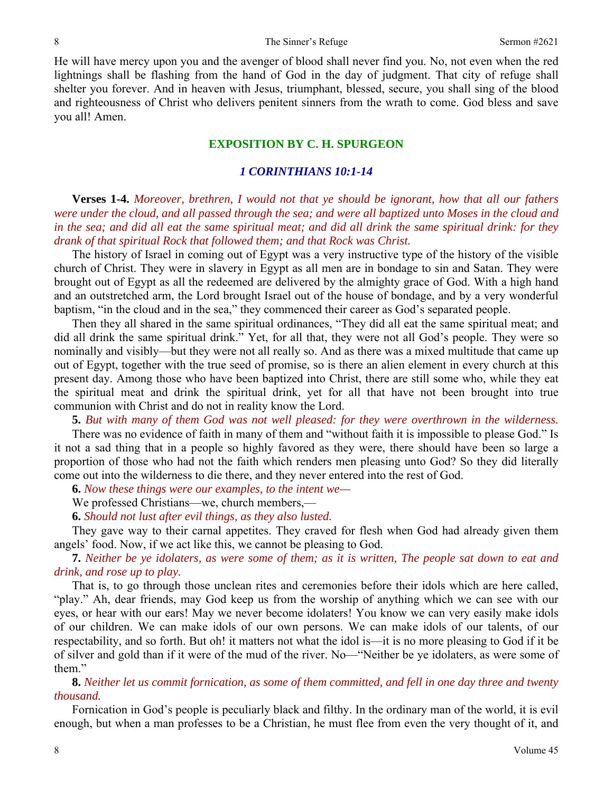He will have mercy upon you and the avenger of blood shall never find you. No, not even when the red lightnings shall be flashing from the hand of God in the day of judgment. That city of refuge shall shelter you forever. And in heaven with Jesus, triumphant, blessed, secure, you shall sing of the blood and righteousness of Christ who delivers penitent sinners from the wrath to come. God bless and save you all! Amen.

## **EXPOSITION BY C. H. SPURGEON**

## *1 CORINTHIANS 10:1-14*

**Verses 1-4.** *Moreover, brethren, I would not that ye should be ignorant, how that all our fathers were under the cloud, and all passed through the sea; and were all baptized unto Moses in the cloud and in the sea; and did all eat the same spiritual meat; and did all drink the same spiritual drink: for they drank of that spiritual Rock that followed them; and that Rock was Christ.* 

 The history of Israel in coming out of Egypt was a very instructive type of the history of the visible church of Christ. They were in slavery in Egypt as all men are in bondage to sin and Satan. They were brought out of Egypt as all the redeemed are delivered by the almighty grace of God. With a high hand and an outstretched arm, the Lord brought Israel out of the house of bondage, and by a very wonderful baptism, "in the cloud and in the sea," they commenced their career as God's separated people.

 Then they all shared in the same spiritual ordinances, "They did all eat the same spiritual meat; and did all drink the same spiritual drink." Yet, for all that, they were not all God's people. They were so nominally and visibly—but they were not all really so. And as there was a mixed multitude that came up out of Egypt, together with the true seed of promise, so is there an alien element in every church at this present day. Among those who have been baptized into Christ, there are still some who, while they eat the spiritual meat and drink the spiritual drink, yet for all that have not been brought into true communion with Christ and do not in reality know the Lord.

**5.** *But with many of them God was not well pleased: for they were overthrown in the wilderness.* There was no evidence of faith in many of them and "without faith it is impossible to please God." Is it not a sad thing that in a people so highly favored as they were, there should have been so large a proportion of those who had not the faith which renders men pleasing unto God? So they did literally come out into the wilderness to die there, and they never entered into the rest of God.

**6.** *Now these things were our examples, to the intent we—*

We professed Christians—we, church members,—

**6.** *Should not lust after evil things, as they also lusted.* 

 They gave way to their carnal appetites. They craved for flesh when God had already given them angels' food. Now, if we act like this, we cannot be pleasing to God.

**7.** *Neither be ye idolaters, as were some of them; as it is written, The people sat down to eat and drink, and rose up to play.* 

 That is, to go through those unclean rites and ceremonies before their idols which are here called, "play." Ah, dear friends, may God keep us from the worship of anything which we can see with our eyes, or hear with our ears! May we never become idolaters! You know we can very easily make idols of our children. We can make idols of our own persons. We can make idols of our talents, of our respectability, and so forth. But oh! it matters not what the idol is—it is no more pleasing to God if it be of silver and gold than if it were of the mud of the river. No—"Neither be ye idolaters, as were some of them."

**8.** *Neither let us commit fornication, as some of them committed, and fell in one day three and twenty thousand.* 

 Fornication in God's people is peculiarly black and filthy. In the ordinary man of the world, it is evil enough, but when a man professes to be a Christian, he must flee from even the very thought of it, and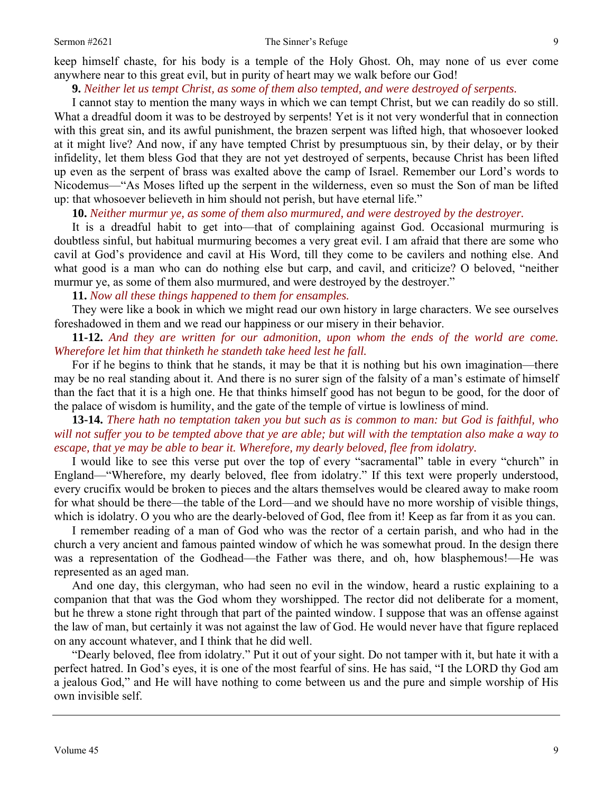keep himself chaste, for his body is a temple of the Holy Ghost. Oh, may none of us ever come anywhere near to this great evil, but in purity of heart may we walk before our God!

## **9.** *Neither let us tempt Christ, as some of them also tempted, and were destroyed of serpents.*

 I cannot stay to mention the many ways in which we can tempt Christ, but we can readily do so still. What a dreadful doom it was to be destroyed by serpents! Yet is it not very wonderful that in connection with this great sin, and its awful punishment, the brazen serpent was lifted high, that whosoever looked at it might live? And now, if any have tempted Christ by presumptuous sin, by their delay, or by their infidelity, let them bless God that they are not yet destroyed of serpents, because Christ has been lifted up even as the serpent of brass was exalted above the camp of Israel. Remember our Lord's words to Nicodemus—"As Moses lifted up the serpent in the wilderness, even so must the Son of man be lifted up: that whosoever believeth in him should not perish, but have eternal life."

**10.** *Neither murmur ye, as some of them also murmured, and were destroyed by the destroyer.* 

 It is a dreadful habit to get into—that of complaining against God. Occasional murmuring is doubtless sinful, but habitual murmuring becomes a very great evil. I am afraid that there are some who cavil at God's providence and cavil at His Word, till they come to be cavilers and nothing else. And what good is a man who can do nothing else but carp, and cavil, and criticize? O beloved, "neither murmur ye, as some of them also murmured, and were destroyed by the destroyer."

**11.** *Now all these things happened to them for ensamples.* 

 They were like a book in which we might read our own history in large characters. We see ourselves foreshadowed in them and we read our happiness or our misery in their behavior.

**11-12.** *And they are written for our admonition, upon whom the ends of the world are come. Wherefore let him that thinketh he standeth take heed lest he fall.* 

 For if he begins to think that he stands, it may be that it is nothing but his own imagination—there may be no real standing about it. And there is no surer sign of the falsity of a man's estimate of himself than the fact that it is a high one. He that thinks himself good has not begun to be good, for the door of the palace of wisdom is humility, and the gate of the temple of virtue is lowliness of mind.

**13-14.** *There hath no temptation taken you but such as is common to man: but God is faithful, who will not suffer you to be tempted above that ye are able; but will with the temptation also make a way to escape, that ye may be able to bear it. Wherefore, my dearly beloved, flee from idolatry.* 

 I would like to see this verse put over the top of every "sacramental" table in every "church" in England—"Wherefore, my dearly beloved, flee from idolatry." If this text were properly understood, every crucifix would be broken to pieces and the altars themselves would be cleared away to make room for what should be there—the table of the Lord—and we should have no more worship of visible things, which is idolatry. O you who are the dearly-beloved of God, flee from it! Keep as far from it as you can.

 I remember reading of a man of God who was the rector of a certain parish, and who had in the church a very ancient and famous painted window of which he was somewhat proud. In the design there was a representation of the Godhead—the Father was there, and oh, how blasphemous!—He was represented as an aged man.

 And one day, this clergyman, who had seen no evil in the window, heard a rustic explaining to a companion that that was the God whom they worshipped. The rector did not deliberate for a moment, but he threw a stone right through that part of the painted window. I suppose that was an offense against the law of man, but certainly it was not against the law of God. He would never have that figure replaced on any account whatever, and I think that he did well.

 "Dearly beloved, flee from idolatry." Put it out of your sight. Do not tamper with it, but hate it with a perfect hatred. In God's eyes, it is one of the most fearful of sins. He has said, "I the LORD thy God am a jealous God," and He will have nothing to come between us and the pure and simple worship of His own invisible self.